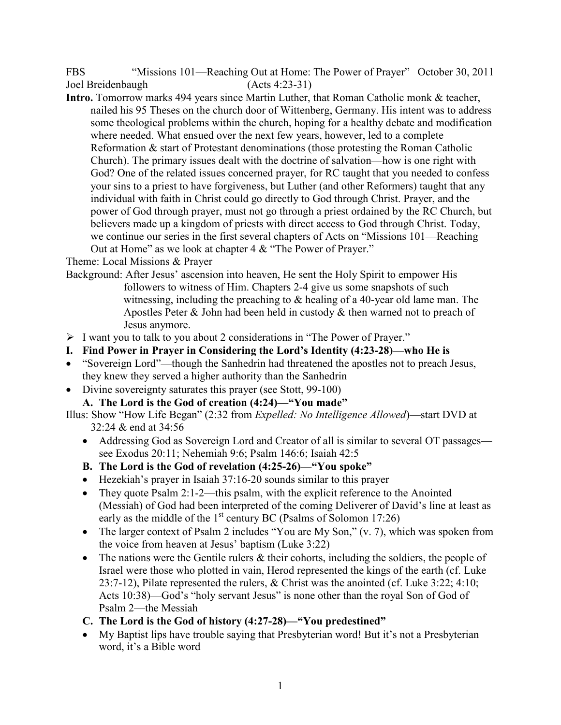FBS "Missions 101—Reaching Out at Home: The Power of Prayer" October 30, 2011 Joel Breidenbaugh (Acts 4:23-31)

**Intro.** Tomorrow marks 494 years since Martin Luther, that Roman Catholic monk & teacher, nailed his 95 Theses on the church door of Wittenberg, Germany. His intent was to address some theological problems within the church, hoping for a healthy debate and modification where needed. What ensued over the next few years, however, led to a complete Reformation & start of Protestant denominations (those protesting the Roman Catholic Church). The primary issues dealt with the doctrine of salvation—how is one right with God? One of the related issues concerned prayer, for RC taught that you needed to confess your sins to a priest to have forgiveness, but Luther (and other Reformers) taught that any individual with faith in Christ could go directly to God through Christ. Prayer, and the power of God through prayer, must not go through a priest ordained by the RC Church, but believers made up a kingdom of priests with direct access to God through Christ. Today, we continue our series in the first several chapters of Acts on "Missions 101—Reaching Out at Home" as we look at chapter 4 & "The Power of Prayer."

Theme: Local Missions & Prayer

- Background: After Jesus' ascension into heaven, He sent the Holy Spirit to empower His followers to witness of Him. Chapters 2-4 give us some snapshots of such witnessing, including the preaching to & healing of a 40-year old lame man. The Apostles Peter & John had been held in custody & then warned not to preach of Jesus anymore.
- I want you to talk to you about 2 considerations in "The Power of Prayer."
- **I. Find Power in Prayer in Considering the Lord's Identity (4:23-28)—who He is**
- "Sovereign Lord"—though the Sanhedrin had threatened the apostles not to preach Jesus, they knew they served a higher authority than the Sanhedrin
- Divine sovereignty saturates this prayer (see Stott, 99-100)
	- **A. The Lord is the God of creation (4:24)—"You made"**

Illus: Show "How Life Began" (2:32 from *Expelled: No Intelligence Allowed*)—start DVD at 32:24 & end at 34:56

- Addressing God as Sovereign Lord and Creator of all is similar to several OT passages see Exodus 20:11; Nehemiah 9:6; Psalm 146:6; Isaiah 42:5
- **B. The Lord is the God of revelation (4:25-26)—"You spoke"**
- Hezekiah's prayer in Isaiah 37:16-20 sounds similar to this prayer
- They quote Psalm 2:1-2—this psalm, with the explicit reference to the Anointed (Messiah) of God had been interpreted of the coming Deliverer of David's line at least as early as the middle of the  $1<sup>st</sup>$  century BC (Psalms of Solomon 17:26)
- The larger context of Psalm 2 includes "You are My Son," (v. 7), which was spoken from the voice from heaven at Jesus' baptism (Luke 3:22)
- The nations were the Gentile rulers  $\&$  their cohorts, including the soldiers, the people of Israel were those who plotted in vain, Herod represented the kings of the earth (cf. Luke 23:7-12), Pilate represented the rulers, & Christ was the anointed (cf. Luke 3:22; 4:10; Acts 10:38)—God's "holy servant Jesus" is none other than the royal Son of God of Psalm 2—the Messiah
- **C. The Lord is the God of history (4:27-28)—"You predestined"**
- My Baptist lips have trouble saying that Presbyterian word! But it's not a Presbyterian word, it's a Bible word